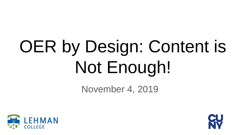# OER by Design: Content is Not Enough!

November 4, 2019



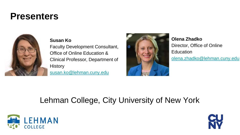## **Presenters**



**Susan Ko**

Faculty Development Consultant, Office of Online Education & Clinical Professor, Department of **History** [susan.ko@lehman.cuny.edu](mailto:susan.ko@lehman.cuny.edu)



**Olena Zhadko** Director, Office of Online **Education** [olena.zhadko@lehman.cuny.edu](mailto:olena.zhadko@lehman.cuny.edu)

## Lehman College, City University of New York



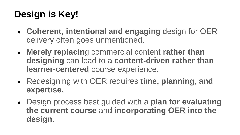# **Design is Key!**

- **Coherent, intentional and engaging** design for OER delivery often goes unmentioned.
- **Merely replacin**g commercial content **rather than designing** can lead to a **content-driven rather than learner-centered** course experience.
- Redesigning with OER requires **time, planning, and expertise.**
- Design process best guided with a **plan for evaluating the current course** and **incorporating OER into the design**.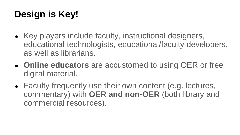# **Design is Key!**

- Key players include faculty, instructional designers, educational technologists, educational/faculty developers, as well as librarians.
- **Online educators** are accustomed to using OER or free digital material.
- Faculty frequently use their own content (e.g. lectures, commentary) with **OER and non-OER** (both library and commercial resources).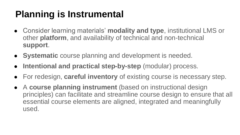# **Planning is Instrumental**

- Consider learning materials' **modality and type**, institutional LMS or other **platform**, and availability of technical and non-technical **support**.
- **Systematic** course planning and development is needed.
- **Intentional and practical step-by-step** (modular) process.
- For redesign, **careful inventory** of existing course is necessary step.
- A **course planning instrument** (based on instructional design principles) can facilitate and streamline course design to ensure that all essential course elements are aligned, integrated and meaningfully used.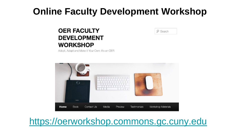## **Online Faculty Development Workshop**

#### **OER FACULTY DEVELOPMENT WORKSHOP**

 $\rho$  Search

Adopt, Adapt and Make it Your Own: It's an OER



## [https://oerworkshop.commons.gc.cuny.edu](https://oerworkshop.commons.gc.cuny.edu/)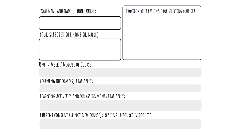

LEARNING OUTCOME(S) THAT APPLY:

LEARNING ACTIVITIES AND/OR ASSIGNMENTS THAT APPLY:

CURRENT CONTENT (IF NOT NEW COURSE): READING, RESOURCE, VIDEO, ETC.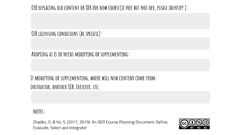#### OER REPLACING OLD CONTENT OR OER FOR NEW COURSE(IF FREE BUT NOT OER, PLEASE IDENTIFY):

#### OER LICENSING CONDITIONS (BE SPECIFIC):

#### ADOPTING AS IS OR NEEDS MODIFYING OR SUPPLEMENTING:

### IF MODIFYING OR SUPPLEMENTING, WHERE WILL NEW CONTENT COME FROM: INSTRUCTOR, ANOTHER OER, ERESERVE, ETC.

NOTES:

Zhadko, O. & Ko, S. (2017, 2019). An OER Course Planning Document: Define, Evaluate, Select and Integrate!

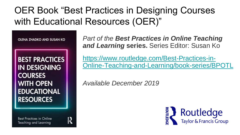# OER Book "Best Practices in Designing Courses with Educational Resources (OER)"

OLENA ZHADKO AND SUSAN KO

**BEST PRACTICES IN DESIGNING COURSES** WITH OPEN **EDUCATIONAL RESOURCES** 

**Best Practices in Online** Teaching and Learning



*Part of the Best Practices in Online Teaching and Learning* **series.** Series Editor: Susan Ko

https://www.routledge.com/Best-Practices-in-[Online-Teaching-and-Learning/book-series/BPOTL](https://www.routledge.com/Best-Practices-in-Online-Teaching-and-Learning/book-series/BPOTL)

*Available December 2019*